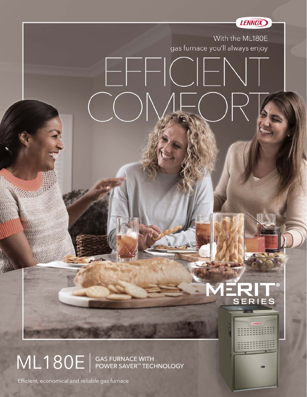

ML180E SAS FURNACE WITH

Efficient, economical and reliable gas furnace